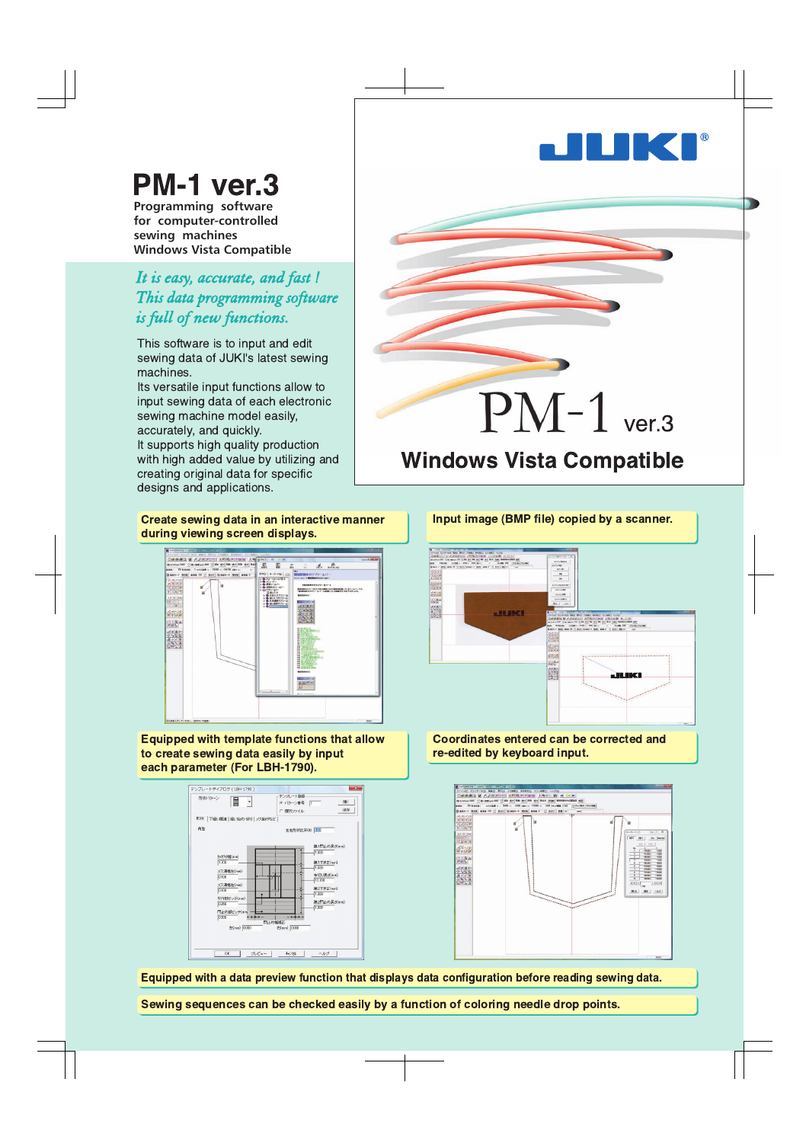

# **PM-1 ver.3**

**Programming software for computer-controlled sewing machines Windows Vista Compatible**

## *It is easy, accurate, and fast ! This data programming software is full of new functions.*

This software is to input and edit sewing data of JUKI's latest sewing machines.

Its versatile input functions allow to input sewing data of each electronic sewing machine model easily, accurately, and quickly.

It supports high quality production with high added value by utilizing and creating original data for specific designs and applications.

#### Create sewing data in an interactive manner during viewing screen displays.



Equipped with template functions that allow to create sewing data easily by input each parameter (For LBH-1790).





# **Windows Vista Compatible**



Coordinates entered can be corrected and re-edited by keyboard input.



Equipped with a data preview function that displays data configuration before reading sewing data.

Sewing sequences can be checked easily by a function of coloring needle drop points.